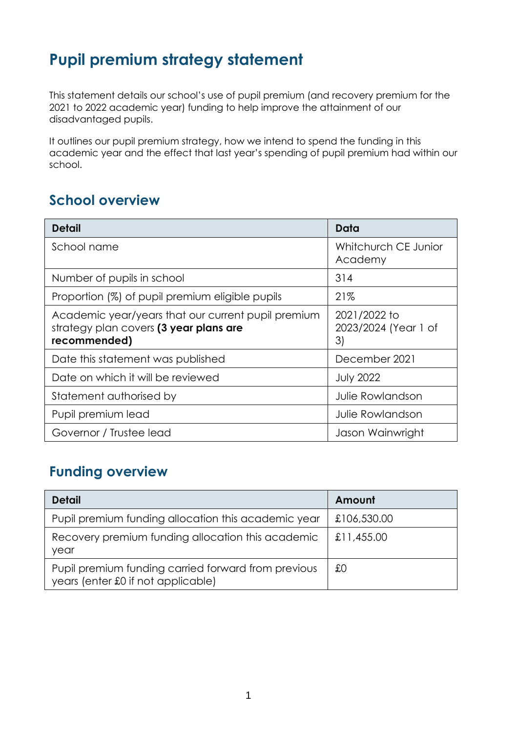# **Pupil premium strategy statement**

This statement details our school's use of pupil premium (and recovery premium for the 2021 to 2022 academic year) funding to help improve the attainment of our disadvantaged pupils.

It outlines our pupil premium strategy, how we intend to spend the funding in this academic year and the effect that last year's spending of pupil premium had within our school.

#### **School overview**

| <b>Detail</b>                                                                                                | Data                                       |
|--------------------------------------------------------------------------------------------------------------|--------------------------------------------|
| School name                                                                                                  | Whitchurch CE Junior<br>Academy            |
| Number of pupils in school                                                                                   | 314                                        |
| Proportion (%) of pupil premium eligible pupils                                                              | 21%                                        |
| Academic year/years that our current pupil premium<br>strategy plan covers (3 year plans are<br>recommended) | 2021/2022 to<br>2023/2024 (Year 1 of<br>3) |
| Date this statement was published                                                                            | December 2021                              |
| Date on which it will be reviewed                                                                            | <b>July 2022</b>                           |
| Statement authorised by                                                                                      | Julie Rowlandson                           |
| Pupil premium lead                                                                                           | Julie Rowlandson                           |
| Governor / Trustee lead                                                                                      | Jason Wainwright                           |

#### **Funding overview**

| <b>Detail</b>                                                                             | Amount      |
|-------------------------------------------------------------------------------------------|-------------|
| Pupil premium funding allocation this academic year                                       | £106,530.00 |
| Recovery premium funding allocation this academic<br>year                                 | £11,455.00  |
| Pupil premium funding carried forward from previous<br>years (enter £0 if not applicable) | £О          |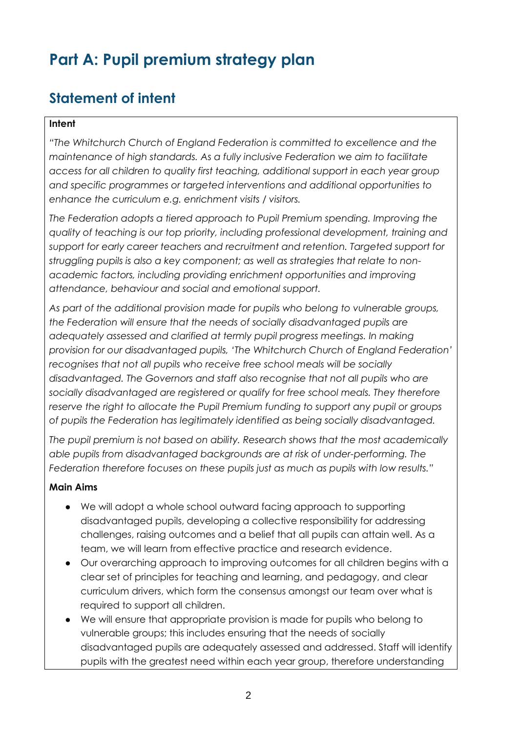# **Part A: Pupil premium strategy plan**

## **Statement of intent**

#### **Intent**

*"The Whitchurch Church of England Federation is committed to excellence and the maintenance of high standards. As a fully inclusive Federation we aim to facilitate access for all children to quality first teaching, additional support in each year group and specific programmes or targeted interventions and additional opportunities to enhance the curriculum e.g. enrichment visits / visitors.* 

*The Federation adopts a tiered approach to Pupil Premium spending. Improving the quality of teaching is our top priority, including professional development, training and support for early career teachers and recruitment and retention. Targeted support for struggling pupils is also a key component; as well as strategies that relate to nonacademic factors, including providing enrichment opportunities and improving attendance, behaviour and social and emotional support.*

*As part of the additional provision made for pupils who belong to vulnerable groups, the Federation will ensure that the needs of socially disadvantaged pupils are*  adequately assessed and clarified at termly pupil progress meetings. In making *provision for our disadvantaged pupils, 'The Whitchurch Church of England Federation' recognises that not all pupils who receive free school meals will be socially disadvantaged. The Governors and staff also recognise that not all pupils who are socially disadvantaged are registered or qualify for free school meals. They therefore reserve the right to allocate the Pupil Premium funding to support any pupil or groups of pupils the Federation has legitimately identified as being socially disadvantaged.*

*The pupil premium is not based on ability. Research shows that the most academically able pupils from disadvantaged backgrounds are at risk of under-performing. The Federation therefore focuses on these pupils just as much as pupils with low results."*

#### **Main Aims**

- We will adopt a whole school outward facing approach to supporting disadvantaged pupils, developing a collective responsibility for addressing challenges, raising outcomes and a belief that all pupils can attain well. As a team, we will learn from effective practice and research evidence.
- Our overarching approach to improving outcomes for all children begins with a clear set of principles for teaching and learning, and pedagogy, and clear curriculum drivers, which form the consensus amongst our team over what is required to support all children.
- We will ensure that appropriate provision is made for pupils who belong to vulnerable groups; this includes ensuring that the needs of socially disadvantaged pupils are adequately assessed and addressed. Staff will identify pupils with the greatest need within each year group, therefore understanding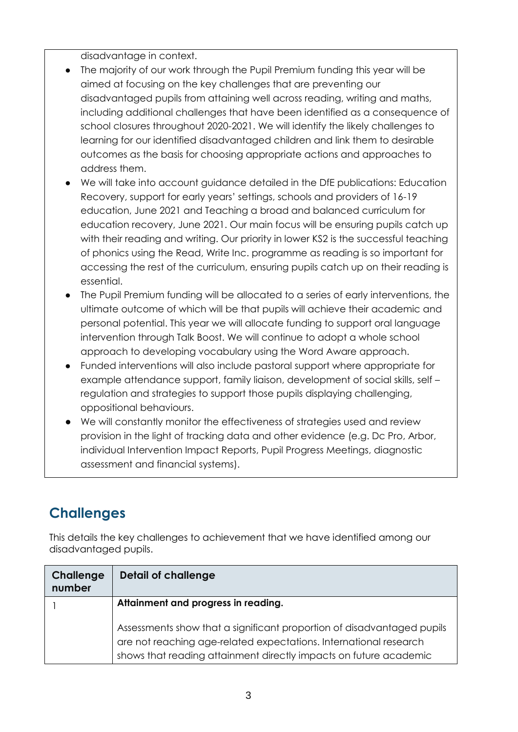disadvantage in context.

- The majority of our work through the Pupil Premium funding this year will be aimed at focusing on the key challenges that are preventing our disadvantaged pupils from attaining well across reading, writing and maths, including additional challenges that have been identified as a consequence of school closures throughout 2020-2021. We will identify the likely challenges to learning for our identified disadvantaged children and link them to desirable outcomes as the basis for choosing appropriate actions and approaches to address them.
- We will take into account guidance detailed in the DfE publications: Education Recovery, support for early years' settings, schools and providers of 16-19 education, June 2021 and Teaching a broad and balanced curriculum for education recovery, June 2021. Our main focus will be ensuring pupils catch up with their reading and writing. Our priority in lower KS2 is the successful teaching of phonics using the Read, Write Inc. programme as reading is so important for accessing the rest of the curriculum, ensuring pupils catch up on their reading is essential.
- The Pupil Premium funding will be allocated to a series of early interventions, the ultimate outcome of which will be that pupils will achieve their academic and personal potential. This year we will allocate funding to support oral language intervention through Talk Boost. We will continue to adopt a whole school approach to developing vocabulary using the Word Aware approach.
- Funded interventions will also include pastoral support where appropriate for example attendance support, family liaison, development of social skills, self – regulation and strategies to support those pupils displaying challenging, oppositional behaviours.
- We will constantly monitor the effectiveness of strategies used and review provision in the light of tracking data and other evidence (e.g. Dc Pro, Arbor, individual Intervention Impact Reports, Pupil Progress Meetings, diagnostic assessment and financial systems).

## **Challenges**

This details the key challenges to achievement that we have identified among our disadvantaged pupils.

| Challenge<br>number | <b>Detail of challenge</b>                                                                                                                                                                                       |
|---------------------|------------------------------------------------------------------------------------------------------------------------------------------------------------------------------------------------------------------|
|                     | Attainment and progress in reading.                                                                                                                                                                              |
|                     | Assessments show that a significant proportion of disadvantaged pupils<br>are not reaching age-related expectations. International research<br>shows that reading attainment directly impacts on future academic |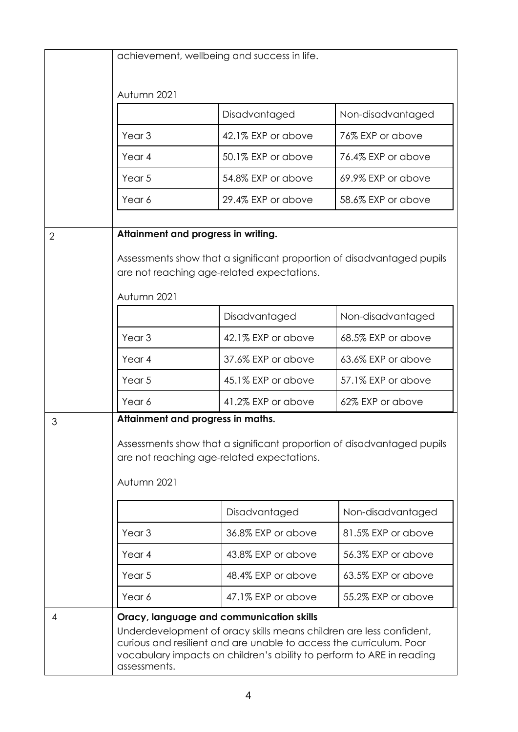|                | achievement, wellbeing and success in life.                                                                                                                                                                                                                                     |                    |                    |
|----------------|---------------------------------------------------------------------------------------------------------------------------------------------------------------------------------------------------------------------------------------------------------------------------------|--------------------|--------------------|
|                | Autumn 2021                                                                                                                                                                                                                                                                     |                    |                    |
|                |                                                                                                                                                                                                                                                                                 | Disadvantaged      | Non-disadvantaged  |
|                | Year <sub>3</sub>                                                                                                                                                                                                                                                               | 42.1% EXP or above | 76% EXP or above   |
|                | Year 4                                                                                                                                                                                                                                                                          | 50.1% EXP or above | 76.4% EXP or above |
|                | Year 5                                                                                                                                                                                                                                                                          | 54.8% EXP or above | 69.9% EXP or above |
|                | Year 6                                                                                                                                                                                                                                                                          | 29.4% EXP or above | 58.6% EXP or above |
|                |                                                                                                                                                                                                                                                                                 |                    |                    |
| $\overline{2}$ | Attainment and progress in writing.<br>Assessments show that a significant proportion of disadvantaged pupils<br>are not reaching age-related expectations.<br>Autumn 2021                                                                                                      |                    |                    |
|                |                                                                                                                                                                                                                                                                                 | Disadvantaged      | Non-disadvantaged  |
|                | Year <sub>3</sub>                                                                                                                                                                                                                                                               | 42.1% EXP or above | 68.5% EXP or above |
|                | Year 4                                                                                                                                                                                                                                                                          | 37.6% EXP or above | 63.6% EXP or above |
|                | Year 5                                                                                                                                                                                                                                                                          | 45.1% EXP or above | 57.1% EXP or above |
|                | Year 6                                                                                                                                                                                                                                                                          | 41.2% EXP or above | 62% EXP or above   |
| 3              | Attainment and progress in maths.<br>Assessments show that a significant proportion of disadvantaged pupils<br>are not reaching age-related expectations.<br>Autumn 2021                                                                                                        |                    |                    |
|                |                                                                                                                                                                                                                                                                                 | Disadvantaged      | Non-disadvantaged  |
|                | Year <sub>3</sub>                                                                                                                                                                                                                                                               | 36.8% EXP or above | 81.5% EXP or above |
|                | Year 4                                                                                                                                                                                                                                                                          | 43.8% EXP or above | 56.3% EXP or above |
|                | Year 5                                                                                                                                                                                                                                                                          | 48.4% EXP or above | 63.5% EXP or above |
|                | Year 6                                                                                                                                                                                                                                                                          | 47.1% EXP or above | 55.2% EXP or above |
| 4              | Oracy, language and communication skills<br>Underdevelopment of oracy skills means children are less confident,<br>curious and resilient and are unable to access the curriculum. Poor<br>vocabulary impacts on children's ability to perform to ARE in reading<br>assessments. |                    |                    |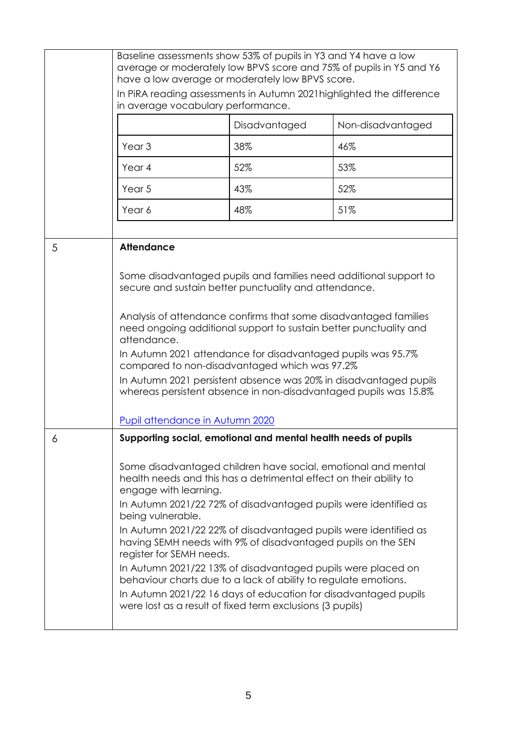|   | Baseline assessments show 53% of pupils in Y3 and Y4 have a low<br>average or moderately low BPVS score and 75% of pupils in Y5 and Y6<br>have a low average or moderately low BPVS score.<br>In PiRA reading assessments in Autumn 2021 highlighted the difference<br>in average vocabulary performance.                                                                                                                                                                                                                                                                                                                                                                                                                                                  |               |                   |
|---|------------------------------------------------------------------------------------------------------------------------------------------------------------------------------------------------------------------------------------------------------------------------------------------------------------------------------------------------------------------------------------------------------------------------------------------------------------------------------------------------------------------------------------------------------------------------------------------------------------------------------------------------------------------------------------------------------------------------------------------------------------|---------------|-------------------|
|   |                                                                                                                                                                                                                                                                                                                                                                                                                                                                                                                                                                                                                                                                                                                                                            | Disadvantaged | Non-disadvantaged |
|   | Year <sub>3</sub>                                                                                                                                                                                                                                                                                                                                                                                                                                                                                                                                                                                                                                                                                                                                          | 38%           | 46%               |
|   | Year 4                                                                                                                                                                                                                                                                                                                                                                                                                                                                                                                                                                                                                                                                                                                                                     | 52%           | 53%               |
|   | Year 5                                                                                                                                                                                                                                                                                                                                                                                                                                                                                                                                                                                                                                                                                                                                                     | 43%           | 52%               |
|   | Year 6                                                                                                                                                                                                                                                                                                                                                                                                                                                                                                                                                                                                                                                                                                                                                     | 48%           | 51%               |
|   |                                                                                                                                                                                                                                                                                                                                                                                                                                                                                                                                                                                                                                                                                                                                                            |               |                   |
|   | <b>Attendance</b><br>Some disadvantaged pupils and families need additional support to<br>secure and sustain better punctuality and attendance.<br>Analysis of attendance confirms that some disadvantaged families<br>need ongoing additional support to sustain better punctuality and<br>attendance.<br>In Autumn 2021 attendance for disadvantaged pupils was 95.7%<br>compared to non-disadvantaged which was 97.2%<br>In Autumn 2021 persistent absence was 20% in disadvantaged pupils<br>whereas persistent absence in non-disadvantaged pupils was 15.8%<br>Pupil attendance in Autumn 2020                                                                                                                                                       |               |                   |
| 6 | Supporting social, emotional and mental health needs of pupils<br>Some disadvantaged children have social, emotional and mental<br>health needs and this has a detrimental effect on their ability to<br>engage with learning.<br>In Autumn 2021/22 72% of disadvantaged pupils were identified as<br>being vulnerable.<br>In Autumn 2021/22 22% of disadvantaged pupils were identified as<br>having SEMH needs with 9% of disadvantaged pupils on the SEN<br>register for SEMH needs.<br>In Autumn 2021/22 13% of disadvantaged pupils were placed on<br>behaviour charts due to a lack of ability to regulate emotions.<br>In Autumn 2021/22 16 days of education for disadvantaged pupils<br>were lost as a result of fixed term exclusions (3 pupils) |               |                   |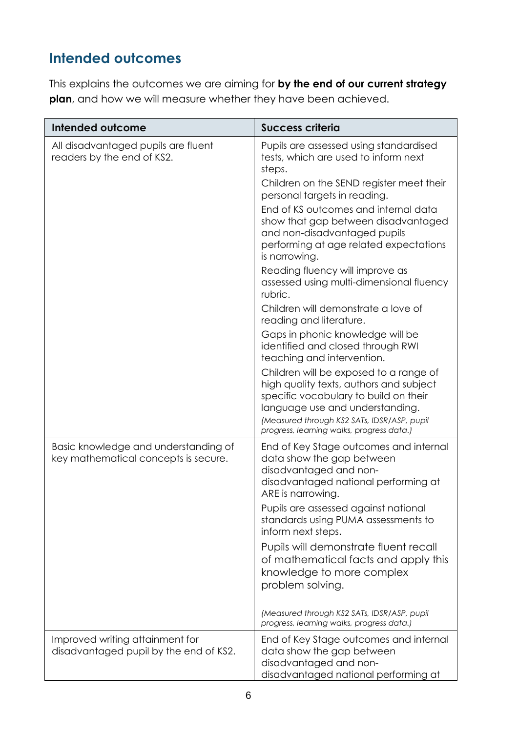## **Intended outcomes**

This explains the outcomes we are aiming for **by the end of our current strategy plan**, and how we will measure whether they have been achieved.

| Intended outcome                                                             | <b>Success criteria</b>                                                                                                                                                                                                                                   |
|------------------------------------------------------------------------------|-----------------------------------------------------------------------------------------------------------------------------------------------------------------------------------------------------------------------------------------------------------|
| All disadvantaged pupils are fluent<br>readers by the end of KS2.            | Pupils are assessed using standardised<br>tests, which are used to inform next<br>steps.                                                                                                                                                                  |
|                                                                              | Children on the SEND register meet their<br>personal targets in reading.                                                                                                                                                                                  |
|                                                                              | End of KS outcomes and internal data<br>show that gap between disadvantaged<br>and non-disadvantaged pupils<br>performing at age related expectations<br>is narrowing.                                                                                    |
|                                                                              | Reading fluency will improve as<br>assessed using multi-dimensional fluency<br>rubric.                                                                                                                                                                    |
|                                                                              | Children will demonstrate a love of<br>reading and literature.                                                                                                                                                                                            |
|                                                                              | Gaps in phonic knowledge will be<br>identified and closed through RWI<br>teaching and intervention.                                                                                                                                                       |
|                                                                              | Children will be exposed to a range of<br>high quality texts, authors and subject<br>specific vocabulary to build on their<br>language use and understanding.<br>(Measured through KS2 SATs, IDSR/ASP, pupil<br>progress, learning walks, progress data.) |
| Basic knowledge and understanding of<br>key mathematical concepts is secure. | End of Key Stage outcomes and internal<br>data show the gap between<br>disadvantaged and non-<br>disadvantaged national performing at<br>ARE is narrowing.                                                                                                |
|                                                                              | Pupils are assessed against national<br>standards using PUMA assessments to<br>inform next steps.                                                                                                                                                         |
|                                                                              | Pupils will demonstrate fluent recall<br>of mathematical facts and apply this<br>knowledge to more complex<br>problem solving.                                                                                                                            |
|                                                                              | (Measured through KS2 SATs, IDSR/ASP, pupil<br>progress, learning walks, progress data.)                                                                                                                                                                  |
| Improved writing attainment for<br>disadvantaged pupil by the end of KS2.    | End of Key Stage outcomes and internal<br>data show the gap between<br>disadvantaged and non-<br>disadvantaged national performing at                                                                                                                     |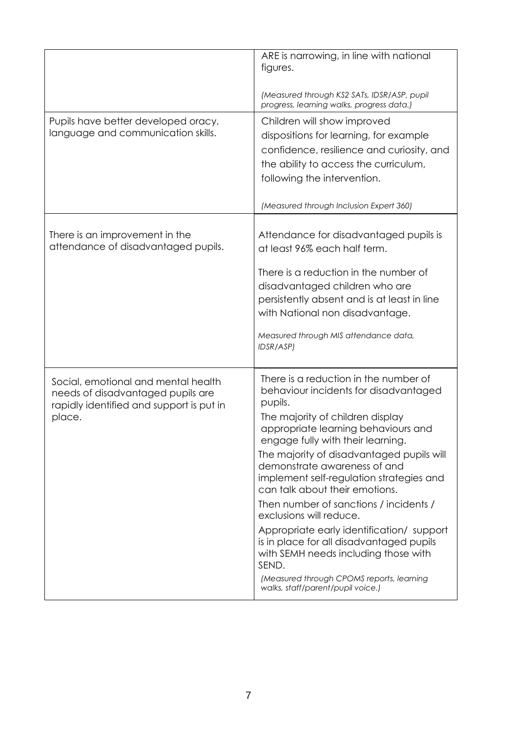|                                                                                                                                | ARE is narrowing, in line with national<br>figures.<br>(Measured through KS2 SATs, IDSR/ASP, pupil<br>progress, learning walks, progress data.)                                                                                                                                                                                                                                                                                                                                                                                                                                                                                                                       |
|--------------------------------------------------------------------------------------------------------------------------------|-----------------------------------------------------------------------------------------------------------------------------------------------------------------------------------------------------------------------------------------------------------------------------------------------------------------------------------------------------------------------------------------------------------------------------------------------------------------------------------------------------------------------------------------------------------------------------------------------------------------------------------------------------------------------|
| Pupils have better developed oracy,<br>language and communication skills.                                                      | Children will show improved<br>dispositions for learning, for example<br>confidence, resilience and curiosity, and<br>the ability to access the curriculum,<br>following the intervention.<br>(Measured through Inclusion Expert 360)                                                                                                                                                                                                                                                                                                                                                                                                                                 |
| There is an improvement in the<br>attendance of disadvantaged pupils.                                                          | Attendance for disadvantaged pupils is<br>at least 96% each half term.<br>There is a reduction in the number of<br>disadvantaged children who are<br>persistently absent and is at least in line<br>with National non disadvantage.<br>Measured through MIS attendance data,<br>IDSR/ASP)                                                                                                                                                                                                                                                                                                                                                                             |
| Social, emotional and mental health<br>needs of disadvantaged pupils are<br>rapidly identified and support is put in<br>place. | There is a reduction in the number of<br>behaviour incidents for disadvantaged<br>pupils.<br>The majority of children display<br>appropriate learning behaviours and<br>engage fully with their learning.<br>The majority of disadvantaged pupils will<br>demonstrate awareness of and<br>implement self-regulation strategies and<br>can talk about their emotions.<br>Then number of sanctions / incidents /<br>exclusions will reduce.<br>Appropriate early identification/ support<br>is in place for all disadvantaged pupils<br>with SEMH needs including those with<br>SEND.<br>(Measured through CPOMS reports, learning<br>walks, staff/parent/pupil voice.) |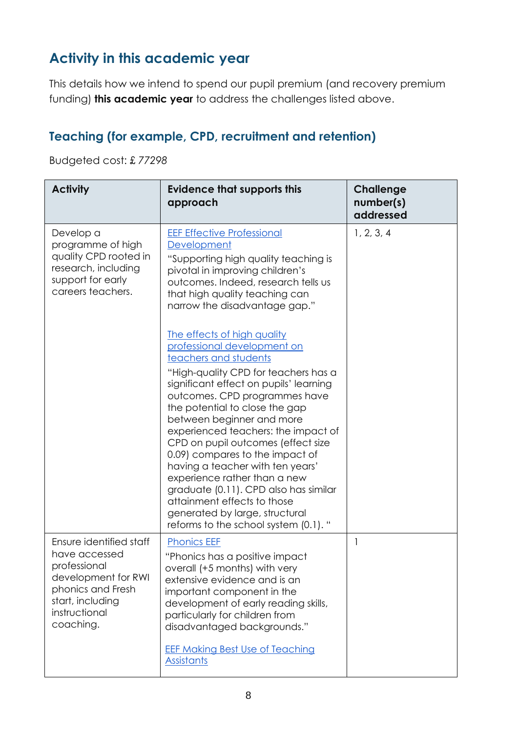### **Activity in this academic year**

This details how we intend to spend our pupil premium (and recovery premium funding) **this academic year** to address the challenges listed above.

#### **Teaching (for example, CPD, recruitment and retention)**

Budgeted cost: £ *77298*

| <b>Activity</b>                                                                                                                                        | <b>Evidence that supports this</b><br>approach                                                                                                                                                                                                                                                                                                                                                                                                                                                                                                                                                                                                                                                                                                                                                                                                        | <b>Challenge</b><br>number(s)<br>addressed |
|--------------------------------------------------------------------------------------------------------------------------------------------------------|-------------------------------------------------------------------------------------------------------------------------------------------------------------------------------------------------------------------------------------------------------------------------------------------------------------------------------------------------------------------------------------------------------------------------------------------------------------------------------------------------------------------------------------------------------------------------------------------------------------------------------------------------------------------------------------------------------------------------------------------------------------------------------------------------------------------------------------------------------|--------------------------------------------|
| Develop a<br>programme of high<br>quality CPD rooted in<br>research, including<br>support for early<br>careers teachers.                               | <b>EEF Effective Professional</b><br>Development<br>"Supporting high quality teaching is<br>pivotal in improving children's<br>outcomes. Indeed, research tells us<br>that high quality teaching can<br>narrow the disadvantage gap."<br>The effects of high quality<br>professional development on<br>teachers and students<br>"High-quality CPD for teachers has a<br>significant effect on pupils' learning<br>outcomes. CPD programmes have<br>the potential to close the gap<br>between beginner and more<br>experienced teachers: the impact of<br>CPD on pupil outcomes (effect size<br>0.09) compares to the impact of<br>having a teacher with ten years'<br>experience rather than a new<br>graduate (0.11). CPD also has similar<br>attainment effects to those<br>generated by large, structural<br>reforms to the school system (0.1). " | 1, 2, 3, 4                                 |
| Ensure identified staff<br>have accessed<br>professional<br>development for RWI<br>phonics and Fresh<br>start, including<br>instructional<br>coaching. | <b>Phonics EEF</b><br>"Phonics has a positive impact<br>overall (+5 months) with very<br>extensive evidence and is an<br>important component in the<br>development of early reading skills,<br>particularly for children from<br>disadvantaged backgrounds."<br><b>EEF Making Best Use of Teaching</b><br><b>Assistants</b>                                                                                                                                                                                                                                                                                                                                                                                                                                                                                                                           | 1                                          |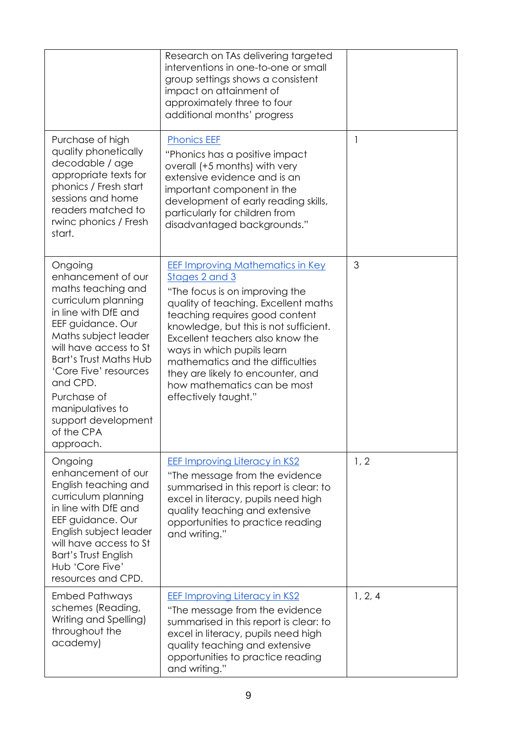|                                                                                                                                                                                                                                                                                                                                      | Research on TAs delivering targeted<br>interventions in one-to-one or small<br>group settings shows a consistent<br>impact on attainment of<br>approximately three to four<br>additional months' progress                                                                                                                                                                                                         |              |
|--------------------------------------------------------------------------------------------------------------------------------------------------------------------------------------------------------------------------------------------------------------------------------------------------------------------------------------|-------------------------------------------------------------------------------------------------------------------------------------------------------------------------------------------------------------------------------------------------------------------------------------------------------------------------------------------------------------------------------------------------------------------|--------------|
| Purchase of high<br>quality phonetically<br>decodable / age<br>appropriate texts for<br>phonics / Fresh start<br>sessions and home<br>readers matched to<br>rwinc phonics / Fresh<br>start.                                                                                                                                          | <b>Phonics EEF</b><br>"Phonics has a positive impact<br>overall (+5 months) with very<br>extensive evidence and is an<br>important component in the<br>development of early reading skills,<br>particularly for children from<br>disadvantaged backgrounds."                                                                                                                                                      | $\mathbf{1}$ |
| Ongoing<br>enhancement of our<br>maths teaching and<br>curriculum planning<br>in line with DfE and<br>EEF guidance. Our<br>Maths subject leader<br>will have access to St<br><b>Bart's Trust Maths Hub</b><br>'Core Five' resources<br>and CPD.<br>Purchase of<br>manipulatives to<br>support development<br>of the CPA<br>approach. | <b>EEF Improving Mathematics in Key</b><br>Stages 2 and 3<br>"The focus is on improving the<br>quality of teaching. Excellent maths<br>teaching requires good content<br>knowledge, but this is not sufficient.<br>Excellent teachers also know the<br>ways in which pupils learn<br>mathematics and the difficulties<br>they are likely to encounter, and<br>how mathematics can be most<br>effectively taught." | 3            |
| Ongoing<br>enhancement of our<br>English teaching and<br>curriculum planning<br>in line with DfE and<br>EEF guidance. Our<br>English subject leader<br>will have access to St<br><b>Bart's Trust English</b><br>Hub 'Core Five'<br>resources and CPD.                                                                                | <b>EEF Improving Literacy in KS2</b><br>"The message from the evidence<br>summarised in this report is clear: to<br>excel in literacy, pupils need high<br>quality teaching and extensive<br>opportunities to practice reading<br>and writing."                                                                                                                                                                   | 1, 2         |
| <b>Embed Pathways</b><br>schemes (Reading,<br>Writing and Spelling)<br>throughout the<br>academy)                                                                                                                                                                                                                                    | <b>EEF Improving Literacy in KS2</b><br>"The message from the evidence<br>summarised in this report is clear: to<br>excel in literacy, pupils need high<br>quality teaching and extensive<br>opportunities to practice reading<br>and writing."                                                                                                                                                                   | 1, 2, 4      |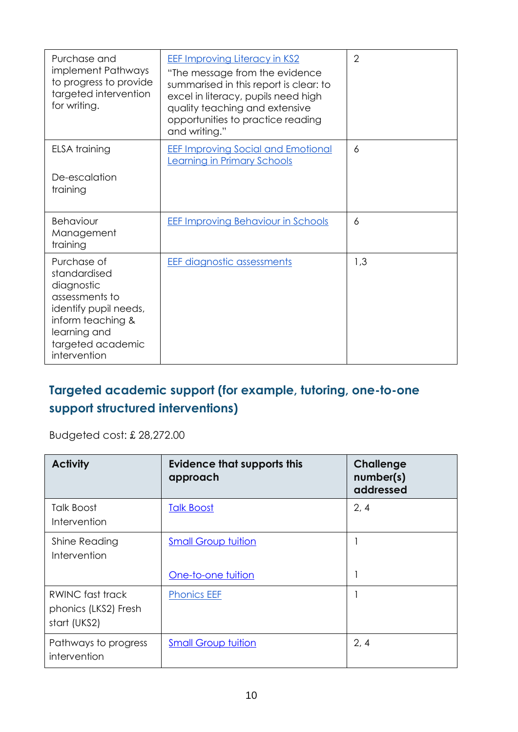| Purchase and<br>implement Pathways<br>to progress to provide<br>targeted intervention<br>for writing.                                                          | <b>EEF Improving Literacy in KS2</b><br>"The message from the evidence"<br>summarised in this report is clear: to<br>excel in literacy, pupils need high<br>quality teaching and extensive<br>opportunities to practice reading<br>and writing." | $\overline{2}$ |
|----------------------------------------------------------------------------------------------------------------------------------------------------------------|--------------------------------------------------------------------------------------------------------------------------------------------------------------------------------------------------------------------------------------------------|----------------|
| ELSA training                                                                                                                                                  | <b>EEF Improving Social and Emotional</b><br><b>Learning in Primary Schools</b>                                                                                                                                                                  | 6              |
| De-escalation<br>training                                                                                                                                      |                                                                                                                                                                                                                                                  |                |
| <b>Behaviour</b><br>Management<br>training                                                                                                                     | <b>EEF Improving Behaviour in Schools</b>                                                                                                                                                                                                        | 6              |
| Purchase of<br>standardised<br>diagnostic<br>assessments to<br>identify pupil needs,<br>inform teaching &<br>learning and<br>targeted academic<br>intervention | <b>EEF diagnostic assessments</b>                                                                                                                                                                                                                | 1,3            |

### **Targeted academic support (for example, tutoring, one-to-one support structured interventions)**

Budgeted cost: £ 28,272.00

| <b>Activity</b>                                          | <b>Evidence that supports this</b><br>approach | <b>Challenge</b><br>number(s)<br>addressed |
|----------------------------------------------------------|------------------------------------------------|--------------------------------------------|
| <b>Talk Boost</b><br>Intervention                        | <b>Talk Boost</b>                              | 2, 4                                       |
| Shine Reading<br>Intervention                            | <b>Small Group tuition</b>                     |                                            |
|                                                          | One-to-one tuition                             |                                            |
| RWINC fast track<br>phonics (LKS2) Fresh<br>start (UKS2) | <b>Phonics EEF</b>                             |                                            |
| Pathways to progress<br>intervention                     | <b>Small Group tuition</b>                     | 2, 4                                       |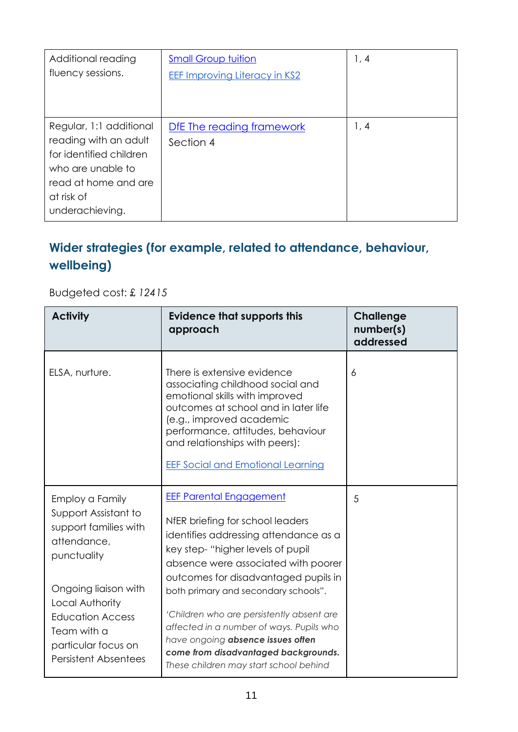| Additional reading<br>fluency sessions.                                                                                                                   | <b>Small Group tuition</b><br><b>EEF Improving Literacy in KS2</b> | 1, 4 |
|-----------------------------------------------------------------------------------------------------------------------------------------------------------|--------------------------------------------------------------------|------|
| Regular, 1:1 additional<br>reading with an adult<br>for identified children<br>who are unable to<br>read at home and are<br>at risk of<br>underachieving. | DfE The reading framework<br>Section 4                             | 1, 4 |

### **Wider strategies (for example, related to attendance, behaviour, wellbeing)**

#### Budgeted cost: £ *12415*

| <b>Activity</b>                                                                                                                                                                                                                           | <b>Evidence that supports this</b><br>approach                                                                                                                                                                                                                                                                                                                                                                                               | <b>Challenge</b><br>number(s)<br>addressed |
|-------------------------------------------------------------------------------------------------------------------------------------------------------------------------------------------------------------------------------------------|----------------------------------------------------------------------------------------------------------------------------------------------------------------------------------------------------------------------------------------------------------------------------------------------------------------------------------------------------------------------------------------------------------------------------------------------|--------------------------------------------|
| ELSA, nurture.                                                                                                                                                                                                                            | There is extensive evidence<br>associating childhood social and<br>emotional skills with improved<br>outcomes at school and in later life<br>(e.g., improved academic<br>performance, attitudes, behaviour<br>and relationships with peers):<br><b>EEF Social and Emotional Learning</b>                                                                                                                                                     | 6                                          |
| Employ a Family<br>Support Assistant to<br>support families with<br>attendance,<br>punctuality<br>Ongoing liaison with<br>Local Authority<br><b>Education Access</b><br>Team with a<br>particular focus on<br><b>Persistent Absentees</b> | <b>EEF Parental Engagement</b><br>NfER briefing for school leaders<br>identifies addressing attendance as a<br>key step-"higher levels of pupil<br>absence were associated with poorer<br>outcomes for disadvantaged pupils in<br>both primary and secondary schools".<br>'Children who are persistently absent are<br>affected in a number of ways. Pupils who<br>have ongoing absence issues often<br>come from disadvantaged backgrounds. | 5                                          |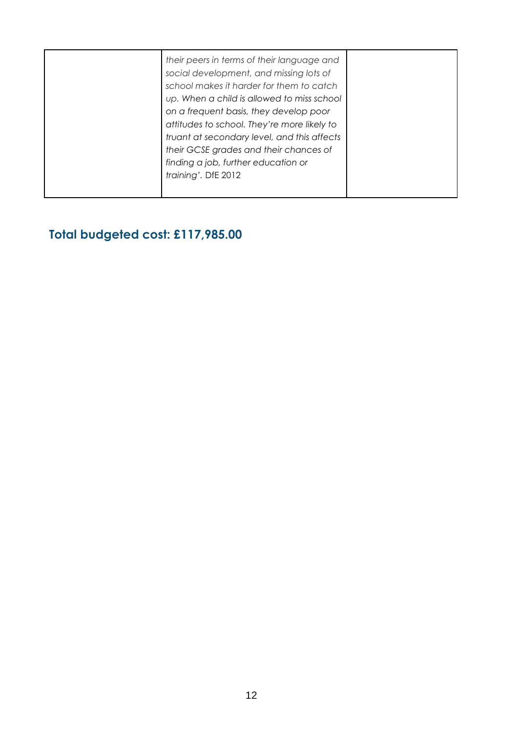|  | their peers in terms of their language and<br>social development, and missing lots of<br>school makes it harder for them to catch<br>up. When a child is allowed to miss school<br>on a frequent basis, they develop poor<br>attitudes to school. They're more likely to<br>truant at secondary level, and this affects<br>their GCSE grades and their chances of<br>finding a job, further education or<br>training'. DfE 2012 |  |
|--|---------------------------------------------------------------------------------------------------------------------------------------------------------------------------------------------------------------------------------------------------------------------------------------------------------------------------------------------------------------------------------------------------------------------------------|--|
|--|---------------------------------------------------------------------------------------------------------------------------------------------------------------------------------------------------------------------------------------------------------------------------------------------------------------------------------------------------------------------------------------------------------------------------------|--|

#### **Total budgeted cost: £117,985.00**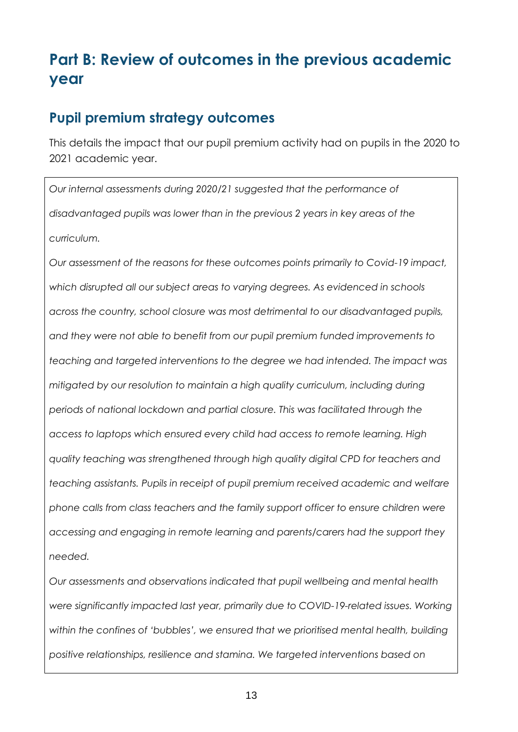# **Part B: Review of outcomes in the previous academic year**

#### **Pupil premium strategy outcomes**

This details the impact that our pupil premium activity had on pupils in the 2020 to 2021 academic year.

*Our internal assessments during 2020/21 suggested that the performance of disadvantaged pupils was lower than in the previous 2 years in key areas of the curriculum.*

*Our assessment of the reasons for these outcomes points primarily to Covid-19 impact, which disrupted all our subject areas to varying degrees. As evidenced in schools across the country, school closure was most detrimental to our disadvantaged pupils, and they were not able to benefit from our pupil premium funded improvements to teaching and targeted interventions to the degree we had intended. The impact was mitigated by our resolution to maintain a high quality curriculum, including during periods of national lockdown and partial closure. This was facilitated through the access to laptops which ensured every child had access to remote learning. High quality teaching was strengthened through high quality digital CPD for teachers and teaching assistants. Pupils in receipt of pupil premium received academic and welfare phone calls from class teachers and the family support officer to ensure children were accessing and engaging in remote learning and parents/carers had the support they needed.*

*Our assessments and observations indicated that pupil wellbeing and mental health were significantly impacted last year, primarily due to COVID-19-related issues. Working within the confines of 'bubbles', we ensured that we prioritised mental health, building positive relationships, resilience and stamina. We targeted interventions based on*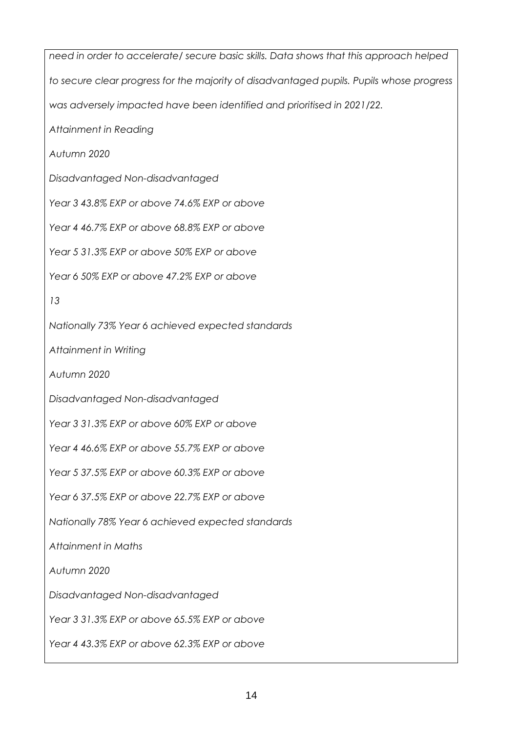*need in order to accelerate/ secure basic skills. Data shows that this approach helped to secure clear progress for the majority of disadvantaged pupils. Pupils whose progress was adversely impacted have been identified and prioritised in 2021/22. Attainment in Reading Autumn 2020 Disadvantaged Non-disadvantaged Year 3 43.8% EXP or above 74.6% EXP or above Year 4 46.7% EXP or above 68.8% EXP or above Year 5 31.3% EXP or above 50% EXP or above Year 6 50% EXP or above 47.2% EXP or above 13 Nationally 73% Year 6 achieved expected standards Attainment in Writing Autumn 2020 Disadvantaged Non-disadvantaged Year 3 31.3% EXP or above 60% EXP or above Year 4 46.6% EXP or above 55.7% EXP or above Year 5 37.5% EXP or above 60.3% EXP or above Year 6 37.5% EXP or above 22.7% EXP or above Nationally 78% Year 6 achieved expected standards Attainment in Maths Autumn 2020 Disadvantaged Non-disadvantaged Year 3 31.3% EXP or above 65.5% EXP or above Year 4 43.3% EXP or above 62.3% EXP or above*